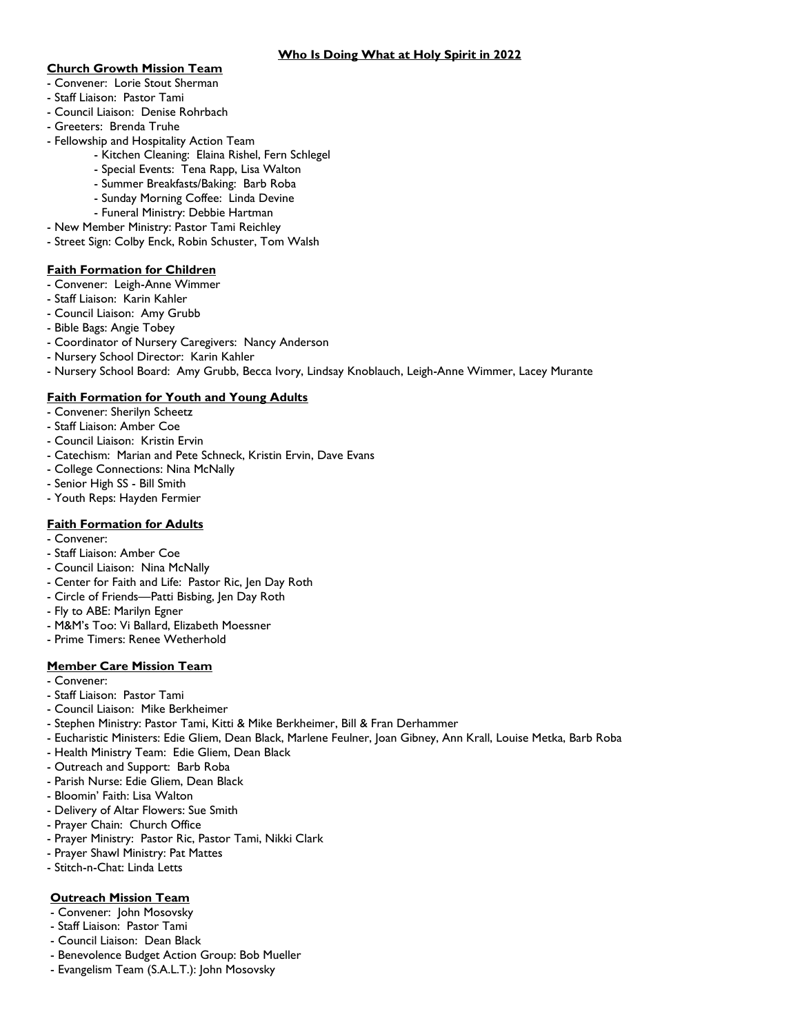#### **Church Growth Mission Team**

- Convener: Lorie Stout Sherman
- Staff Liaison: Pastor Tami
- Council Liaison: Denise Rohrbach
- Greeters: Brenda Truhe
- Fellowship and Hospitality Action Team
	- Kitchen Cleaning: Elaina Rishel, Fern Schlegel
	- Special Events: Tena Rapp, Lisa Walton
	- Summer Breakfasts/Baking: Barb Roba
	- Sunday Morning Coffee: Linda Devine
	- Funeral Ministry: Debbie Hartman
- New Member Ministry: Pastor Tami Reichley
- Street Sign: Colby Enck, Robin Schuster, Tom Walsh

#### **Faith Formation for Children**

- Convener: Leigh-Anne Wimmer
- Staff Liaison: Karin Kahler
- Council Liaison: Amy Grubb
- Bible Bags: Angie Tobey
- Coordinator of Nursery Caregivers: Nancy Anderson
- Nursery School Director: Karin Kahler
- Nursery School Board: Amy Grubb, Becca Ivory, Lindsay Knoblauch, Leigh-Anne Wimmer, Lacey Murante

### **Faith Formation for Youth and Young Adults**

- Convener: Sherilyn Scheetz
- Staff Liaison: Amber Coe
- Council Liaison: Kristin Ervin
- Catechism: Marian and Pete Schneck, Kristin Ervin, Dave Evans
- College Connections: Nina McNally
- Senior High SS Bill Smith
- Youth Reps: Hayden Fermier

## **Faith Formation for Adults**

- Convener:
- Staff Liaison: Amber Coe
- Council Liaison: Nina McNally
- Center for Faith and Life: Pastor Ric, Jen Day Roth
- Circle of Friends—Patti Bisbing, Jen Day Roth
- Fly to ABE: Marilyn Egner
- M&M's Too: Vi Ballard, Elizabeth Moessner
- Prime Timers: Renee Wetherhold

### **Member Care Mission Team**

- Convener:
- Staff Liaison: Pastor Tami
- Council Liaison: Mike Berkheimer
- Stephen Ministry: Pastor Tami, Kitti & Mike Berkheimer, Bill & Fran Derhammer
- Eucharistic Ministers: Edie Gliem, Dean Black, Marlene Feulner, Joan Gibney, Ann Krall, Louise Metka, Barb Roba
- Health Ministry Team: Edie Gliem, Dean Black
- Outreach and Support: Barb Roba
- Parish Nurse: Edie Gliem, Dean Black
- Bloomin' Faith: Lisa Walton
- Delivery of Altar Flowers: Sue Smith
- Prayer Chain: Church Office
- Prayer Ministry: Pastor Ric, Pastor Tami, Nikki Clark
- Prayer Shawl Ministry: Pat Mattes
- Stitch-n-Chat: Linda Letts

#### **Outreach Mission Team**

- Convener: John Mosovsky
- Staff Liaison: Pastor Tami
- Council Liaison: Dean Black
- Benevolence Budget Action Group: Bob Mueller
- Evangelism Team (S.A.L.T.): John Mosovsky